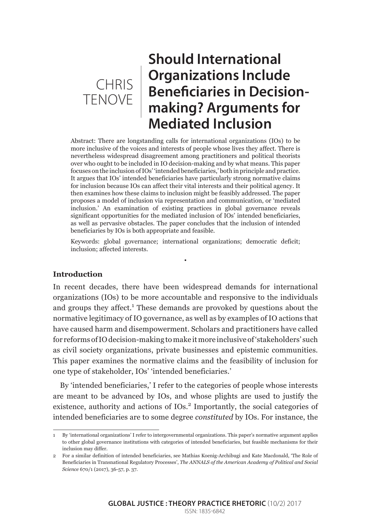

# **Should International Organizations Include Beneficiaries in Decisionmaking? Arguments for Mediated Inclusion**

Abstract: There are longstanding calls for international organizations (IOs) to be more inclusive of the voices and interests of people whose lives they affect. There is nevertheless widespread disagreement among practitioners and political theorists over who ought to be included in IO decision-making and by what means. This paper focuses on the inclusion of IOs' 'intended beneficiaries,' both in principle and practice. It argues that IOs' intended beneficiaries have particularly strong normative claims for inclusion because IOs can affect their vital interests and their political agency. It then examines how these claims to inclusion might be feasibly addressed. The paper proposes a model of inclusion via representation and communication, or 'mediated inclusion.' An examination of existing practices in global governance reveals significant opportunities for the mediated inclusion of IOs' intended beneficiaries, as well as pervasive obstacles. The paper concludes that the inclusion of intended beneficiaries by IOs is both appropriate and feasible.

Keywords: global governance; international organizations; democratic deficit; inclusion; affected interests.

•

## **Introduction**

In recent decades, there have been widespread demands for international organizations (IOs) to be more accountable and responsive to the individuals and groups they affect.<sup>1</sup> These demands are provoked by questions about the normative legitimacy of IO governance, as well as by examples of IO actions that have caused harm and disempowerment. Scholars and practitioners have called for reforms of IO decision-making to make it more inclusive of 'stakeholders' such as civil society organizations, private businesses and epistemic communities. This paper examines the normative claims and the feasibility of inclusion for one type of stakeholder, IOs' 'intended beneficiaries.'

By 'intended beneficiaries,' I refer to the categories of people whose interests are meant to be advanced by IOs, and whose plights are used to justify the existence, authority and actions of IOs.<sup>2</sup> Importantly, the social categories of intended beneficiaries are to some degree *constituted* by IOs. For instance, the

<sup>1</sup> By 'international organizations' I refer to intergovernmental organizations. This paper's normative argument applies to other global governance institutions with categories of intended beneficiaries, but feasible mechanisms for their inclusion may differ.

<sup>2</sup> For a similar definition of intended beneficiaries, see Mathias Koenig-Archibugi and Kate Macdonald, 'The Role of Beneficiaries in Transnational Regulatory Processes', *The ANNALS of the American Academy of Political and Social Science* 670/1 (2017), 36-57, p. 37.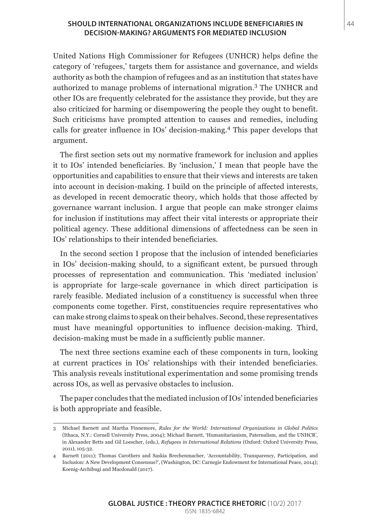#### **SHOULD INTERNATIONAL ORGANIZATIONS INCLUDE BENEFICIARIES IN** 44 **DECISION-MAKING? ARGUMENTS FOR MEDIATED INCLUSION**

United Nations High Commissioner for Refugees (UNHCR) helps define the category of 'refugees,' targets them for assistance and governance, and wields authority as both the champion of refugees and as an institution that states have authorized to manage problems of international migration.<sup>3</sup> The UNHCR and other IOs are frequently celebrated for the assistance they provide, but they are also criticized for harming or disempowering the people they ought to benefit. Such criticisms have prompted attention to causes and remedies, including calls for greater influence in IOs' decision-making.4 This paper develops that argument.

The first section sets out my normative framework for inclusion and applies it to IOs' intended beneficiaries. By 'inclusion,' I mean that people have the opportunities and capabilities to ensure that their views and interests are taken into account in decision-making. I build on the principle of affected interests, as developed in recent democratic theory, which holds that those affected by governance warrant inclusion. I argue that people can make stronger claims for inclusion if institutions may affect their vital interests or appropriate their political agency. These additional dimensions of affectedness can be seen in IOs' relationships to their intended beneficiaries.

In the second section I propose that the inclusion of intended beneficiaries in IOs' decision-making should, to a significant extent, be pursued through processes of representation and communication. This 'mediated inclusion' is appropriate for large-scale governance in which direct participation is rarely feasible. Mediated inclusion of a constituency is successful when three components come together. First, constituencies require representatives who can make strong claims to speak on their behalves. Second, these representatives must have meaningful opportunities to influence decision-making. Third, decision-making must be made in a sufficiently public manner.

The next three sections examine each of these components in turn, looking at current practices in IOs' relationships with their intended beneficiaries. This analysis reveals institutional experimentation and some promising trends across IOs, as well as pervasive obstacles to inclusion.

The paper concludes that the mediated inclusion of IOs' intended beneficiaries is both appropriate and feasible.

<sup>3</sup> Michael Barnett and Martha Finnemore, *Rules for the World: International Organizations in Global Politics* (Ithaca, N.Y.: Cornell University Press, 2004); Michael Barnett, 'Humanitarianism, Paternalism, and the UNHCR', in Alexander Betts and Gil Loescher, (eds.), *Refugees in International Relations* (Oxford: Oxford University Press, 2011), 105-32.

<sup>4</sup> Barnett (2011); Thomas Carothers and Saskia Brechenmacher, 'Accountability, Transparency, Participation, and Inclusion: A New Development Consensus?', (Washington, DC: Carnegie Endowment for International Peace, 2014); Koenig-Archibugi and Macdonald (2017).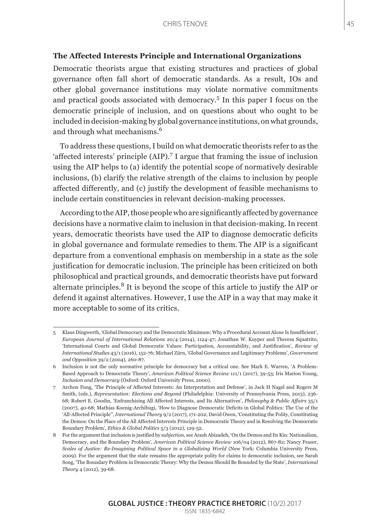#### **The Affected Interests Principle and International Organizations**

Democratic theorists argue that existing structures and practices of global governance often fall short of democratic standards. As a result, IOs and other global governance institutions may violate normative commitments and practical goods associated with democracy.<sup>5</sup> In this paper I focus on the democratic principle of inclusion, and on questions about who ought to be included in decision-making by global governance institutions, on what grounds, and through what mechanisms.<sup>6</sup>

To address these questions, I build on what democratic theorists refer to as the 'affected interests' principle (AIP).<sup>7</sup> I argue that framing the issue of inclusion using the AIP helps to (a) identify the potential scope of normatively desirable inclusions, (b) clarify the relative strength of the claims to inclusion by people affected differently, and (c) justify the development of feasible mechanisms to include certain constituencies in relevant decision-making processes.

According to the AIP, those people who are significantly affected by governance decisions have a normative claim to inclusion in that decision-making. In recent years, democratic theorists have used the AIP to diagnose democratic deficits in global governance and formulate remedies to them. The AIP is a significant departure from a conventional emphasis on membership in a state as the sole justification for democratic inclusion. The principle has been criticized on both philosophical and practical grounds, and democratic theorists have put forward alternate principles.8 It is beyond the scope of this article to justify the AIP or defend it against alternatives. However, I use the AIP in a way that may make it more acceptable to some of its critics.

<sup>5</sup> Klaus Dingwerth, 'Global Democracy and the Democratic Minimum: Why a Procedural Account Alone Is Insufficient', *European Journal of International Relations* 20/4 (2014), 1124-47; Jonathan W. Kuyper and Theresa Squatrito, 'International Courts and Global Democratic Values: Participation, Accountability, and Justification', *Review of International Studies* 43/1 (2016), 152-76; Michael Zürn, 'Global Governance and Legitimacy Problems', *Government and Opposition* 39/2 (2004), 260-87.

<sup>6</sup> Inclusion is not the only normative principle for democracy but a critical one. See Mark E. Warren, 'A Problem-Based Approach to Democratic Theory', *American Political Science Review* 111/1 (2017), 39-53; Iris Marion Young, *Inclusion and Democracy* (Oxford: Oxford University Press, 2000).

<sup>7</sup> Archon Fung, 'The Principle of Affected Interests: An Interpretation and Defense', in Jack H Nagel and Rogers M Smith, (eds.), *Representation: Elections and Beyond* (Philadelphia: University of Pennsylvania Press, 2013), 236- 68; Robert E. Goodin, 'Enfranchising All Affected Interests, and Its Alternatives', *Philosophy & Public Affairs* 35/1 (2007), 40-68; Mathias Koenig-Archibugi, 'How to Diagnose Democratic Deficits in Global Politics: The Use of the 'All-Affected Principle'', *International Theory* 9/2 (2017), 171-202; David Owen, 'Constituting the Polity, Constituting the Demos: On the Place of the All Affected Interests Principle in Democratic Theory and in Resolving the Democratic Boundary Problem', *Ethics & Global Politics* 5/3 (2012), 129-52.

<sup>8</sup> For the argument that inclusion is justified by *subjection*, see Arash Abizadeh, 'On the Demos and Its Kin: Nationalism, Democracy, and the Boundary Problem', *American Political Science Review* 106/04 (2012), 867-82; Nancy Fraser, *Scales of Justice: Re-Imagining Political Space in a Globalizing World* (New York: Columbia University Press, 2009). For the argument that the state remains the appropriate polity for claims to democratic inclusion, see Sarah Song, 'The Boundary Problem in Democratic Theory: Why the Demos Should Be Bounded by the State', *International Theory* 4 (2012), 39-68.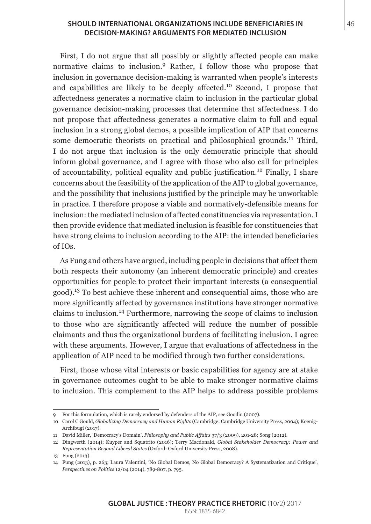#### **SHOULD INTERNATIONAL ORGANIZATIONS INCLUDE BENEFICIARIES IN** 46 **DECISION-MAKING? ARGUMENTS FOR MEDIATED INCLUSION**

First, I do not argue that all possibly or slightly affected people can make normative claims to inclusion.<sup>9</sup> Rather, I follow those who propose that inclusion in governance decision-making is warranted when people's interests and capabilities are likely to be deeply affected.10 Second, I propose that affectedness generates a normative claim to inclusion in the particular global governance decision-making processes that determine that affectedness. I do not propose that affectedness generates a normative claim to full and equal inclusion in a strong global demos, a possible implication of AIP that concerns some democratic theorists on practical and philosophical grounds.<sup>11</sup> Third, I do not argue that inclusion is the only democratic principle that should inform global governance, and I agree with those who also call for principles of accountability, political equality and public justification.12 Finally, I share concerns about the feasibility of the application of the AIP to global governance, and the possibility that inclusions justified by the principle may be unworkable in practice. I therefore propose a viable and normatively-defensible means for inclusion: the mediated inclusion of affected constituencies via representation. I then provide evidence that mediated inclusion is feasible for constituencies that have strong claims to inclusion according to the AIP: the intended beneficiaries of IOs.

As Fung and others have argued, including people in decisions that affect them both respects their autonomy (an inherent democratic principle) and creates opportunities for people to protect their important interests (a consequential good).13 To best achieve these inherent and consequential aims, those who are more significantly affected by governance institutions have stronger normative claims to inclusion.14 Furthermore, narrowing the scope of claims to inclusion to those who are significantly affected will reduce the number of possible claimants and thus the organizational burdens of facilitating inclusion. I agree with these arguments. However, I argue that evaluations of affectedness in the application of AIP need to be modified through two further considerations.

First, those whose vital interests or basic capabilities for agency are at stake in governance outcomes ought to be able to make stronger normative claims to inclusion. This complement to the AIP helps to address possible problems

<sup>9</sup> For this formulation, which is rarely endorsed by defenders of the AIP, see Goodin (2007).

<sup>10</sup> Carol C Gould, *Globalizing Democracy and Human Rights* (Cambridge: Cambridge University Press, 2004); Koenig-Archibugi (2017).

<sup>11</sup> David Miller, 'Democracy's Domain', *Philosophy and Public Affairs* 37/3 (2009), 201-28; Song (2012).

<sup>12</sup> Dingwerth (2014); Kuyper and Squatrito (2016); Terry Macdonald, *Global Stakeholder Democracy: Power and Representation Beyond Liberal States* (Oxford: Oxford University Press, 2008).

<sup>13</sup> Fung (2013).

<sup>14</sup> Fung (2013), p. 263; Laura Valentini, 'No Global Demos, No Global Democracy? A Systematization and Critique', *Perspectives on Politics* 12/04 (2014), 789-807, p. 795.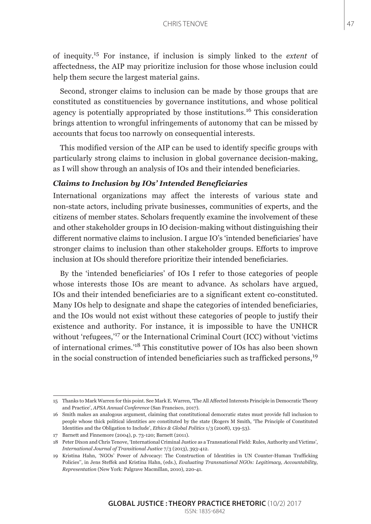of inequity.15 For instance, if inclusion is simply linked to the *extent* of affectedness, the AIP may prioritize inclusion for those whose inclusion could help them secure the largest material gains.

Second, stronger claims to inclusion can be made by those groups that are constituted as constituencies by governance institutions, and whose political agency is potentially appropriated by those institutions.<sup>16</sup> This consideration brings attention to wrongful infringements of autonomy that can be missed by accounts that focus too narrowly on consequential interests.

This modified version of the AIP can be used to identify specific groups with particularly strong claims to inclusion in global governance decision-making, as I will show through an analysis of IOs and their intended beneficiaries.

#### *Claims to Inclusion by IOs' Intended Beneficiaries*

International organizations may affect the interests of various state and non-state actors, including private businesses, communities of experts, and the citizens of member states. Scholars frequently examine the involvement of these and other stakeholder groups in IO decision-making without distinguishing their different normative claims to inclusion. I argue IO's 'intended beneficiaries' have stronger claims to inclusion than other stakeholder groups. Efforts to improve inclusion at IOs should therefore prioritize their intended beneficiaries.

By the 'intended beneficiaries' of IOs I refer to those categories of people whose interests those IOs are meant to advance. As scholars have argued, IOs and their intended beneficiaries are to a significant extent co-constituted. Many IOs help to designate and shape the categories of intended beneficiaries, and the IOs would not exist without these categories of people to justify their existence and authority. For instance, it is impossible to have the UNHCR without 'refugees,'<sup>17</sup> or the International Criminal Court (ICC) without 'victims of international crimes.'18 This constitutive power of IOs has also been shown in the social construction of intended beneficiaries such as trafficked persons,<sup>19</sup>

<sup>15</sup> Thanks to Mark Warren for this point. See Mark E. Warren, 'The All Affected Interests Principle in Democratic Theory and Practice', *APSA Annual Conference* (San Francisco, 2017).

<sup>16</sup> Smith makes an analogous argument, claiming that constitutional democratic states must provide full inclusion to people whose thick political identities are constituted by the state (Rogers M Smith, 'The Principle of Constituted Identities and the Obligation to Include', *Ethics & Global Politics* 1/3 (2008), 139-53).

<sup>17</sup> Barnett and Finnemore (2004), p. 73-120; Barnett (2011).

<sup>18</sup> Peter Dixon and Chris Tenove, 'International Criminal Justice as a Transnational Field: Rules, Authority and Victims', *International Journal of Transitional Justice* 7/3 (2013), 393-412.

<sup>19</sup> Kristina Hahn, 'NGOs' Power of Advocacy: The Construction of Identities in UN Counter-Human Trafficking Policies'', in Jens Steffek and Kristina Hahn, (eds.), *Evaluating Transnational NGOs: Legitimacy, Accountability, Representation* (New York: Palgrave Macmillan, 2010), 220-41.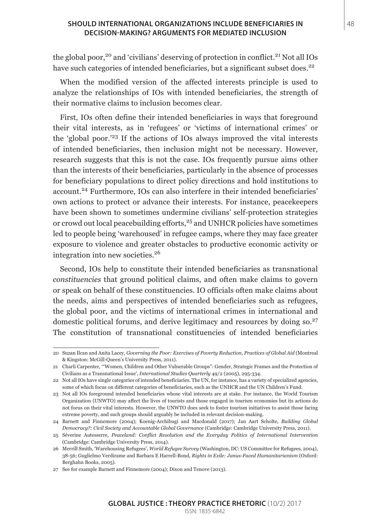#### **SHOULD INTERNATIONAL ORGANIZATIONS INCLUDE BENEFICIARIES IN** 48 **DECISION-MAKING? ARGUMENTS FOR MEDIATED INCLUSION**

the global poor,<sup>20</sup> and 'civilians' deserving of protection in conflict.<sup>21</sup> Not all IOs have such categories of intended beneficiaries, but a significant subset does.<sup>22</sup>

When the modified version of the affected interests principle is used to analyze the relationships of IOs with intended beneficiaries, the strength of their normative claims to inclusion becomes clear.

First, IOs often define their intended beneficiaries in ways that foreground their vital interests, as in 'refugees' or 'victims of international crimes' or the 'global poor.'23 If the actions of IOs always improved the vital interests of intended beneficiaries, then inclusion might not be necessary. However, research suggests that this is not the case. IOs frequently pursue aims other than the interests of their beneficiaries, particularly in the absence of processes for beneficiary populations to direct policy directions and hold institutions to account.<sup>24</sup> Furthermore, IOs can also interfere in their intended beneficiaries' own actions to protect or advance their interests. For instance, peacekeepers have been shown to sometimes undermine civilians' self-protection strategies or crowd out local peacebuilding efforts, $25$  and UNHCR policies have sometimes led to people being 'warehoused' in refugee camps, where they may face greater exposure to violence and greater obstacles to productive economic activity or integration into new societies.<sup>26</sup>

Second, IOs help to constitute their intended beneficiaries as transnational *constituencies* that ground political claims, and often make claims to govern or speak on behalf of these constituencies. IO officials often make claims about the needs, aims and perspectives of intended beneficiaries such as refugees, the global poor, and the victims of international crimes in international and domestic political forums, and derive legitimacy and resources by doing so.<sup>27</sup> The constitution of transnational constituencies of intended beneficiaries

<sup>20</sup> Suzan Ilcan and Anita Lacey, *Governing the Poor: Exercises of Poverty Reduction, Practices of Global Aid* (Montreal & Kingston: McGill-Queen's University Press, 2011).

<sup>21</sup> Charli Carpenter, '"Women, Children and Other Vulnerable Groups": Gender, Strategic Frames and the Protection of Civilians as a Transnational Issue', *International Studies Quarterly* 49/2 (2005), 295-334.

<sup>22</sup> Not all IOs have single categories of intended beneficiaries. The UN, for instance, has a variety of specialized agencies, some of which focus on different categories of beneficiaries, such as the UNHCR and the UN Children's Fund.

<sup>23</sup> Not all IOs foreground intended beneficiaries whose vital interests are at stake. For instance, the World Tourism Organization (UNWTO) may affect the lives of tourists and those engaged in tourism economies but its actions do not focus on their vital interests. However, the UNWTO does seek to foster tourism initiatives to assist those facing extreme poverty, and such groups should arguably be included in relevant decision-making.

<sup>24</sup> Barnett and Finnemore (2004); Koenig-Archibugi and Macdonald (2017); Jan Aart Scholte, *Building Global Democracy?: Civil Society and Accountable Global Governance* (Cambridge: Cambridge University Press, 2011).

<sup>25</sup> Séverine Autesserre, *Peaceland: Conflict Resolution and the Everyday Politics of International Intervention* (Cambridge: Cambridge University Press, 2014).

<sup>26</sup> Merrill Smith, 'Warehousing Refugees', *World Refugee Survey* (Washington, DC: US Committee for Refugees, 2004), 38-56; Guglielmo Verdirame and Barbara E Harrell-Bond, *Rights in Exile: Janus-Faced Humanitarianism* (Oxford: Berghahn Books, 2005).

<sup>27</sup> See for example Barnett and Finnemore (2004); Dixon and Tenove (2013).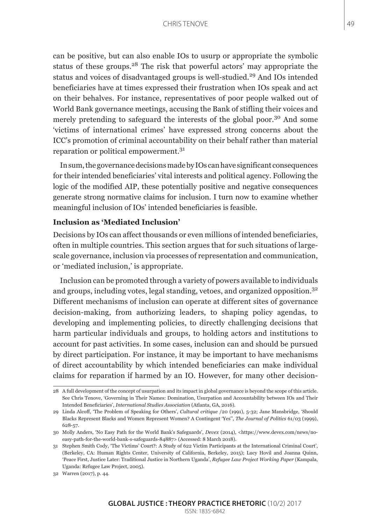#### CHRIS TENOVE 49

can be positive, but can also enable IOs to usurp or appropriate the symbolic status of these groups.<sup>28</sup> The risk that powerful actors' may appropriate the status and voices of disadvantaged groups is well-studied.<sup>29</sup> And IOs intended beneficiaries have at times expressed their frustration when IOs speak and act on their behalves. For instance, representatives of poor people walked out of World Bank governance meetings, accusing the Bank of stifling their voices and merely pretending to safeguard the interests of the global poor.<sup>30</sup> And some 'victims of international crimes' have expressed strong concerns about the ICC's promotion of criminal accountability on their behalf rather than material reparation or political empowerment.<sup>31</sup>

In sum, the governance decisions made by IOs can have significant consequences for their intended beneficiaries' vital interests and political agency. Following the logic of the modified AIP, these potentially positive and negative consequences generate strong normative claims for inclusion. I turn now to examine whether meaningful inclusion of IOs' intended beneficiaries is feasible.

## **Inclusion as 'Mediated Inclusion'**

Decisions by IOs can affect thousands or even millions of intended beneficiaries, often in multiple countries. This section argues that for such situations of largescale governance, inclusion via processes of representation and communication, or 'mediated inclusion,' is appropriate.

Inclusion can be promoted through a variety of powers available to individuals and groups, including votes, legal standing, vetoes, and organized opposition.<sup>32</sup> Different mechanisms of inclusion can operate at different sites of governance decision-making, from authorizing leaders, to shaping policy agendas, to developing and implementing policies, to directly challenging decisions that harm particular individuals and groups, to holding actors and institutions to account for past activities. In some cases, inclusion can and should be pursued by direct participation. For instance, it may be important to have mechanisms of direct accountability by which intended beneficiaries can make individual claims for reparation if harmed by an IO. However, for many other decision-

<sup>28</sup> A full development of the concept of usurpation and its impact in global governance is beyond the scope of this article. See Chris Tenove, 'Governing in Their Names: Domination, Usurpation and Accountability between IOs and Their Intended Beneficiaries', *International Studies Association* (Atlanta, GA, 2016).

<sup>29</sup> Linda Alcoff, 'The Problem of Speaking for Others', *Cultural critique* /20 (1991), 5-32; Jane Mansbridge, 'Should Blacks Represent Blacks and Women Represent Women? A Contingent 'Yes'', *The Journal of Politics* 61/03 (1999), 628-57.

<sup>30</sup> Molly Anders, 'No Easy Path for the World Bank's Safeguards', *Devex* (2014), <https://www.devex.com/news/noeasy-path-for-the-world-bank-s-safeguards-84887> (Accessed: 8 March 2018).

<sup>31</sup> Stephen Smith Cody, 'The Victims' Court?: A Study of 622 Victim Participants at the International Criminal Court', (Berkeley, CA: Human Rights Center, University of California, Berkeley, 2015); Lucy Hovil and Joanna Quinn, 'Peace First, Justice Later: Traditional Justice in Northern Uganda', *Refugee Law Project Working Paper* (Kampala, Uganda: Refugee Law Project, 2005).

<sup>32</sup> Warren (2017), p. 44.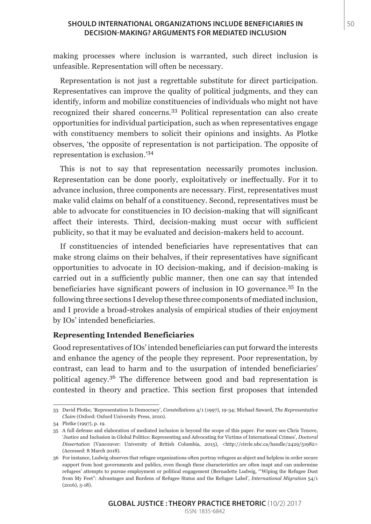#### **SHOULD INTERNATIONAL ORGANIZATIONS INCLUDE BENEFICIARIES IN** 50 **DECISION-MAKING? ARGUMENTS FOR MEDIATED INCLUSION**

making processes where inclusion is warranted, such direct inclusion is unfeasible. Representation will often be necessary.

Representation is not just a regrettable substitute for direct participation. Representatives can improve the quality of political judgments, and they can identify, inform and mobilize constituencies of individuals who might not have recognized their shared concerns.33 Political representation can also create opportunities for individual participation, such as when representatives engage with constituency members to solicit their opinions and insights. As Plotke observes, 'the opposite of representation is not participation. The opposite of representation is exclusion.'<sup>34</sup>

This is not to say that representation necessarily promotes inclusion. Representation can be done poorly, exploitatively or ineffectually. For it to advance inclusion, three components are necessary. First, representatives must make valid claims on behalf of a constituency. Second, representatives must be able to advocate for constituencies in IO decision-making that will significant affect their interests. Third, decision-making must occur with sufficient publicity, so that it may be evaluated and decision-makers held to account.

If constituencies of intended beneficiaries have representatives that can make strong claims on their behalves, if their representatives have significant opportunities to advocate in IO decision-making, and if decision-making is carried out in a sufficiently public manner, then one can say that intended beneficiaries have significant powers of inclusion in IO governance.35 In the following three sections I develop these three components of mediated inclusion, and I provide a broad-strokes analysis of empirical studies of their enjoyment by IOs' intended beneficiaries.

## **Representing Intended Beneficiaries**

Good representatives of IOs' intended beneficiaries can put forward the interests and enhance the agency of the people they represent. Poor representation, by contrast, can lead to harm and to the usurpation of intended beneficiaries' political agency.36 The difference between good and bad representation is contested in theory and practice. This section first proposes that intended

<sup>33</sup> David Plotke, 'Representation Is Democracy', *Constellations* 4/1 (1997), 19-34; Michael Saward, *The Representative Claim* (Oxford: Oxford University Press, 2010).

<sup>34</sup> Plotke (1997), p. 19.

<sup>35</sup> A full defense and elaboration of mediated inclusion is beyond the scope of this paper. For more see Chris Tenove, 'Justice and Inclusion in Global Politics: Representing and Advocating for Victims of International Crimes', *Doctoral Dissertation* (Vancouver: University of British Columbia, 2015), <http://circle.ubc.ca/handle/2429/51982> (Accessed: 8 March 2018).

<sup>36</sup> For instance, Ludwig observes that refugee organizations often portray refugees as abject and helpless in order secure support from host governments and publics, even though these characteristics are often inapt and can undermine refugees' attempts to pursue employment or political engagement (Bernadette Ludwig, '"Wiping the Refugee Dust from My Feet": Advantages and Burdens of Refugee Status and the Refugee Label', *International Migration* 54/1 (2016), 5-18).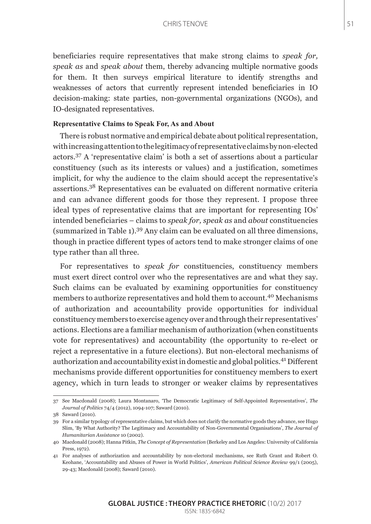beneficiaries require representatives that make strong claims to *speak for, speak as* and *speak about* them, thereby advancing multiple normative goods for them. It then surveys empirical literature to identify strengths and weaknesses of actors that currently represent intended beneficiaries in IO decision-making: state parties, non-governmental organizations (NGOs), and IO-designated representatives.

#### **Representative Claims to Speak For, As and About**

There is robust normative and empirical debate about political representation, with increasing attention to the legitimacy of representative claims by non-elected actors.37 A 'representative claim' is both a set of assertions about a particular constituency (such as its interests or values) and a justification, sometimes implicit, for why the audience to the claim should accept the representative's assertions.38 Representatives can be evaluated on different normative criteria and can advance different goods for those they represent. I propose three ideal types of representative claims that are important for representing IOs' intended beneficiaries – claims to *speak for, speak as* and *about* constituencies (summarized in Table 1).<sup>39</sup> Any claim can be evaluated on all three dimensions, though in practice different types of actors tend to make stronger claims of one type rather than all three.

For representatives to *speak for* constituencies, constituency members must exert direct control over who the representatives are and what they say. Such claims can be evaluated by examining opportunities for constituency members to authorize representatives and hold them to account.40 Mechanisms of authorization and accountability provide opportunities for individual constituency members to exercise agency over and through their representatives' actions. Elections are a familiar mechanism of authorization (when constituents vote for representatives) and accountability (the opportunity to re-elect or reject a representative in a future elections). But non-electoral mechanisms of authorization and accountability exist in domestic and global politics.41 Different mechanisms provide different opportunities for constituency members to exert agency, which in turn leads to stronger or weaker claims by representatives

<sup>37</sup> See Macdonald (2008); Laura Montanaro, 'The Democratic Legitimacy of Self-Appointed Representatives', *The Journal of Politics* 74/4 (2012), 1094-107; Saward (2010).

<sup>38</sup> Saward (2010).

<sup>39</sup> For a similar typology of representative claims, but which does not clarify the normative goods they advance, see Hugo Slim, 'By What Authority? The Legitimacy and Accountability of Non-Governmental Organisations', *The Journal of Humanitarian Assistance* 10 (2002).

<sup>40</sup> Macdonald (2008); Hanna Pitkin, *The Concept of Representation* (Berkeley and Los Angeles: University of California Press, 1072).

<sup>41</sup> For analyses of authorization and accountability by non-electoral mechanisms, see Ruth Grant and Robert O. Keohane, 'Accountability and Abuses of Power in World Politics', *American Political Science Review* 99/1 (2005), 29-43; Macdonald (2008); Saward (2010).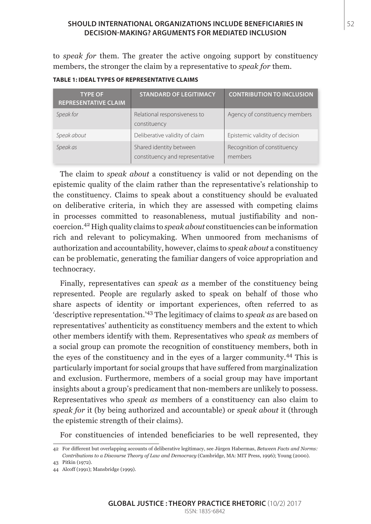#### **SHOULD INTERNATIONAL ORGANIZATIONS INCLUDE BENEFICIARIES IN** 52 **DECISION-MAKING? ARGUMENTS FOR MEDIATED INCLUSION**

to *speak for* them. The greater the active ongoing support by constituency members, the stronger the claim by a representative to *speak for* them.

| <b>TABLE 1: IDEAL TYPES OF REPRESENTATIVE CLAIMS</b> |
|------------------------------------------------------|
|------------------------------------------------------|

| <b>TYPE OF</b><br><b>REPRESENTATIVE CLAIM</b> | <b>STANDARD OF LEGITIMACY</b>                              | <b>CONTRIBUTION TO INCLUSION</b>       |
|-----------------------------------------------|------------------------------------------------------------|----------------------------------------|
| Speak for                                     | Relational responsiveness to<br>constituency               | Agency of constituency members         |
| Speak about                                   | Deliberative validity of claim                             | Epistemic validity of decision         |
| Speak as                                      | Shared identity between<br>constituency and representative | Recognition of constituency<br>members |

The claim to *speak about* a constituency is valid or not depending on the epistemic quality of the claim rather than the representative's relationship to the constituency. Claims to speak about a constituency should be evaluated on deliberative criteria, in which they are assessed with competing claims in processes committed to reasonableness, mutual justifiability and noncoercion.42 High quality claims to *speak about* constituencies can be information rich and relevant to policymaking. When unmoored from mechanisms of authorization and accountability, however, claims to *speak about* a constituency can be problematic, generating the familiar dangers of voice appropriation and technocracy.

Finally, representatives can *speak as* a member of the constituency being represented. People are regularly asked to speak on behalf of those who share aspects of identity or important experiences, often referred to as 'descriptive representation.'43 The legitimacy of claims to *speak as* are based on representatives' authenticity as constituency members and the extent to which other members identify with them. Representatives who *speak as* members of a social group can promote the recognition of constituency members, both in the eyes of the constituency and in the eyes of a larger community.44 This is particularly important for social groups that have suffered from marginalization and exclusion. Furthermore, members of a social group may have important insights about a group's predicament that non-members are unlikely to possess. Representatives who *speak as* members of a constituency can also claim to *speak for* it (by being authorized and accountable) or *speak about* it (through the epistemic strength of their claims).

For constituencies of intended beneficiaries to be well represented, they

<sup>42</sup> For different but overlapping accounts of deliberative legitimacy, see Jürgen Habermas, *Between Facts and Norms: Contributions to a Discourse Theory of Law and Democracy* (Cambridge, MA: MIT Press, 1996); Young (2000).

<sup>43</sup> Pitkin (1972).

<sup>44</sup> Alcoff (1991); Mansbridge (1999).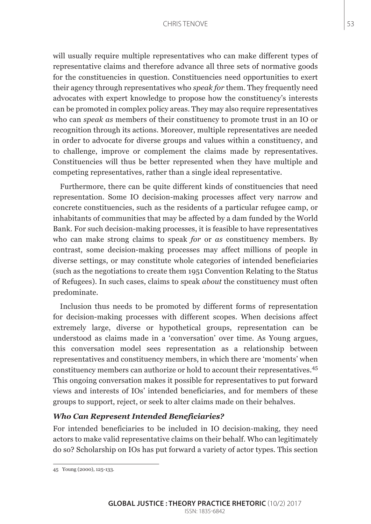will usually require multiple representatives who can make different types of representative claims and therefore advance all three sets of normative goods for the constituencies in question. Constituencies need opportunities to exert their agency through representatives who *speak for* them. They frequently need advocates with expert knowledge to propose how the constituency's interests can be promoted in complex policy areas. They may also require representatives who can *speak as* members of their constituency to promote trust in an IO or recognition through its actions. Moreover, multiple representatives are needed in order to advocate for diverse groups and values within a constituency, and to challenge, improve or complement the claims made by representatives. Constituencies will thus be better represented when they have multiple and competing representatives, rather than a single ideal representative.

Furthermore, there can be quite different kinds of constituencies that need representation. Some IO decision-making processes affect very narrow and concrete constituencies, such as the residents of a particular refugee camp, or inhabitants of communities that may be affected by a dam funded by the World Bank. For such decision-making processes, it is feasible to have representatives who can make strong claims to speak *for* or *as* constituency members. By contrast, some decision-making processes may affect millions of people in diverse settings, or may constitute whole categories of intended beneficiaries (such as the negotiations to create them 1951 Convention Relating to the Status of Refugees). In such cases, claims to speak *about* the constituency must often predominate.

Inclusion thus needs to be promoted by different forms of representation for decision-making processes with different scopes. When decisions affect extremely large, diverse or hypothetical groups, representation can be understood as claims made in a 'conversation' over time. As Young argues, this conversation model sees representation as a relationship between representatives and constituency members, in which there are 'moments' when constituency members can authorize or hold to account their representatives.<sup>45</sup> This ongoing conversation makes it possible for representatives to put forward views and interests of IOs' intended beneficiaries, and for members of these groups to support, reject, or seek to alter claims made on their behalves.

#### *Who Can Represent Intended Beneficiaries?*

For intended beneficiaries to be included in IO decision-making, they need actors to make valid representative claims on their behalf. Who can legitimately do so? Scholarship on IOs has put forward a variety of actor types. This section

<sup>45</sup> Young (2000), 125-133.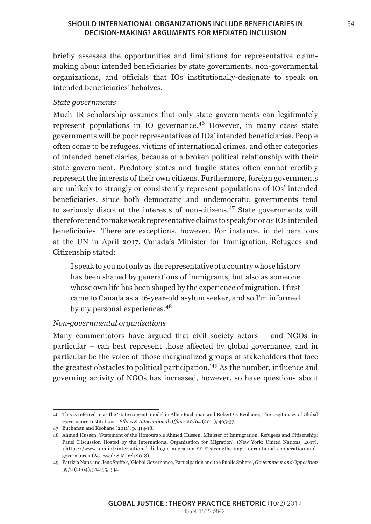## **SHOULD INTERNATIONAL ORGANIZATIONS INCLUDE BENEFICIARIES IN** 54 **DECISION-MAKING? ARGUMENTS FOR MEDIATED INCLUSION**

briefly assesses the opportunities and limitations for representative claimmaking about intended beneficiaries by state governments, non-governmental organizations, and officials that IOs institutionally-designate to speak on intended beneficiaries' behalves.

## *State governments*

Much IR scholarship assumes that only state governments can legitimately represent populations in IO governance.<sup>46</sup> However, in many cases state governments will be poor representatives of IOs' intended beneficiaries. People often come to be refugees, victims of international crimes, and other categories of intended beneficiaries, because of a broken political relationship with their state government. Predatory states and fragile states often cannot credibly represent the interests of their own citizens. Furthermore, foreign governments are unlikely to strongly or consistently represent populations of IOs' intended beneficiaries, since both democratic and undemocratic governments tend to seriously discount the interests of non-citizens.47 State governments will therefore tend to make weak representative claims to speak *for* or *as* IOs intended beneficiaries. There are exceptions, however. For instance, in deliberations at the UN in April 2017, Canada's Minister for Immigration, Refugees and Citizenship stated:

I speak to you not only as the representative of a country whose history has been shaped by generations of immigrants, but also as someone whose own life has been shaped by the experience of migration. I first came to Canada as a 16-year-old asylum seeker, and so I'm informed by my personal experiences.<sup>48</sup>

## *Non-governmental organizations*

Many commentators have argued that civil society actors – and NGOs in particular – can best represent those affected by global governance, and in particular be the voice of 'those marginalized groups of stakeholders that face the greatest obstacles to political participation.'49 As the number, influence and governing activity of NGOs has increased, however, so have questions about

<sup>46</sup> This is referred to as the 'state consent' model in Allen Buchanan and Robert O. Keohane, 'The Legitimacy of Global Governance Institutions', *Ethics & International Affairs* 20/04 (2011), 405-37.

<sup>47</sup> Buchanan and Keohane (2011), p. 414-18.

<sup>48</sup> Ahmed Hussen, 'Statement of the Honourable Ahmed Hussen, Minister of Immigration, Refugees and Citizenship: Panel Discussion Hosted by the International Organization for Migration', (New York: United Nations, 2017), <https://www.iom.int/international-dialogue-migration-2017-strengthening-international-cooperation-andgovernance> (Accessed: 8 March 2018).

<sup>49</sup> Patrizia Nanz and Jens Steffek, 'Global Governance, Participation and the Public Sphere', *Government and Opposition* 39/2 (2004), 314-35, 334.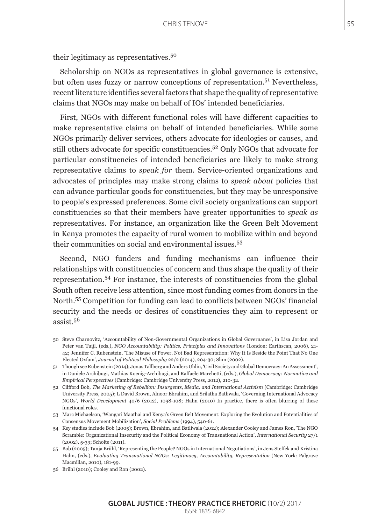their legitimacy as representatives.<sup>50</sup>

Scholarship on NGOs as representatives in global governance is extensive, but often uses fuzzy or narrow conceptions of representation.<sup>51</sup> Nevertheless, recent literature identifies several factors that shape the quality of representative claims that NGOs may make on behalf of IOs' intended beneficiaries.

First, NGOs with different functional roles will have different capacities to make representative claims on behalf of intended beneficiaries. While some NGOs primarily deliver services, others advocate for ideologies or causes, and still others advocate for specific constituencies.52 Only NGOs that advocate for particular constituencies of intended beneficiaries are likely to make strong representative claims to *speak for* them. Service-oriented organizations and advocates of principles may make strong claims to *speak about* policies that can advance particular goods for constituencies, but they may be unresponsive to people's expressed preferences. Some civil society organizations can support constituencies so that their members have greater opportunities to *speak as*  representatives. For instance, an organization like the Green Belt Movement in Kenya promotes the capacity of rural women to mobilize within and beyond their communities on social and environmental issues.<sup>53</sup>

Second, NGO funders and funding mechanisms can influence their relationships with constituencies of concern and thus shape the quality of their representation.54 For instance, the interests of constituencies from the global South often receive less attention, since most funding comes from donors in the North.55 Competition for funding can lead to conflicts between NGOs' financial security and the needs or desires of constituencies they aim to represent or assist.<sup>56</sup>

<sup>50</sup> Steve Charnovitz, 'Accountability of Non-Governmental Organizations in Global Governance', in Lisa Jordan and Peter van Tuijl, (eds.), *NGO Accountability: Politics, Principles and Innovations* (London: Earthscan, 2006), 21- 42; Jennifer C. Rubenstein, 'The Misuse of Power, Not Bad Representation: Why It Is Beside the Point That No One Elected Oxfam', *Journal of Political Philosophy* 22/2 (2014), 204-30; Slim (2002).

<sup>51</sup> Though see Rubenstein (2014); Jonas Tallberg and Anders Uhlin, 'Civil Society and Global Democracy: An Assessment', in Daniele Archibugi, Mathias Koenig-Archibugi, and Raffaele Marchetti, (eds.), *Global Democracy: Normative and Empirical Perspectives* (Cambridge: Cambridge University Press, 2012), 210-32.

<sup>52</sup> Clifford Bob, *The Marketing of Rebellion: Insurgents, Media, and International Activism* (Cambridge: Cambridge University Press, 2005); L David Brown, Alnoor Ebrahim, and Srilatha Batliwala, 'Governing International Advocacy NGOs', *World Development* 40/6 (2012), 1098-108; Hahn (2010) In practice, there is often blurring of these functional roles.

<sup>53</sup> Marc Michaelson, 'Wangari Maathai and Kenya's Green Belt Movement: Exploring the Evolution and Potentialities of Consensus Movement Mobilization', *Social Problems* (1994), 540-61.

<sup>54</sup> Key studies include Bob (2005); Brown, Ebrahim, and Batliwala (2012); Alexander Cooley and James Ron, 'The NGO Scramble: Organizational Insecurity and the Political Economy of Transnational Action', *International Security* 27/1 (2002), 5-39; Scholte (2011).

<sup>55</sup> Bob (2005); Tanja Brühl, 'Representing the People? NGOs in International Negotiations', in Jens Steffek and Kristina Hahn, (eds.), *Evaluating Transnational NGOs: Legitimacy, Accountability, Representation* (New York: Palgrave Macmillan, 2010), 181-99.

<sup>56</sup> Brühl (2010); Cooley and Ron (2002).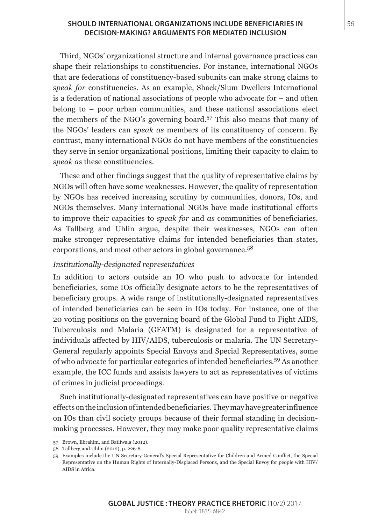#### **SHOULD INTERNATIONAL ORGANIZATIONS INCLUDE BENEFICIARIES IN** 56 **DECISION-MAKING? ARGUMENTS FOR MEDIATED INCLUSION**

Third, NGOs' organizational structure and internal governance practices can shape their relationships to constituencies. For instance, international NGOs that are federations of constituency-based subunits can make strong claims to *speak for* constituencies. As an example, Shack/Slum Dwellers International is a federation of national associations of people who advocate for – and often belong to – poor urban communities, and these national associations elect the members of the NGO's governing board.57 This also means that many of the NGOs' leaders can *speak as* members of its constituency of concern. By contrast, many international NGOs do not have members of the constituencies they serve in senior organizational positions, limiting their capacity to claim to *speak as* these constituencies.

These and other findings suggest that the quality of representative claims by NGOs will often have some weaknesses. However, the quality of representation by NGOs has received increasing scrutiny by communities, donors, IOs, and NGOs themselves. Many international NGOs have made institutional efforts to improve their capacities to *speak for* and *as* communities of beneficiaries. As Tallberg and Uhlin argue, despite their weaknesses, NGOs can often make stronger representative claims for intended beneficiaries than states, corporations, and most other actors in global governance.<sup>58</sup>

#### *Institutionally-designated representatives*

In addition to actors outside an IO who push to advocate for intended beneficiaries, some IOs officially designate actors to be the representatives of beneficiary groups. A wide range of institutionally-designated representatives of intended beneficiaries can be seen in IOs today. For instance, one of the 20 voting positions on the governing board of the Global Fund to Fight AIDS, Tuberculosis and Malaria (GFATM) is designated for a representative of individuals affected by HIV/AIDS, tuberculosis or malaria. The UN Secretary-General regularly appoints Special Envoys and Special Representatives, some of who advocate for particular categories of intended beneficiaries.59 As another example, the ICC funds and assists lawyers to act as representatives of victims of crimes in judicial proceedings.

Such institutionally-designated representatives can have positive or negative effects on the inclusion of intended beneficiaries. They may have greater influence on IOs than civil society groups because of their formal standing in decisionmaking processes. However, they may make poor quality representative claims

<sup>57</sup> Brown, Ebrahim, and Batliwala (2012).

<sup>58</sup> Tallberg and Uhlin (2012), p. 226-8.

<sup>59</sup> Examples include the UN Secretary-General's Special Representative for Children and Armed Conflict, the Special Representative on the Human Rights of Internally-Displaced Persons, and the Special Envoy for people with HIV/ AIDS in Africa.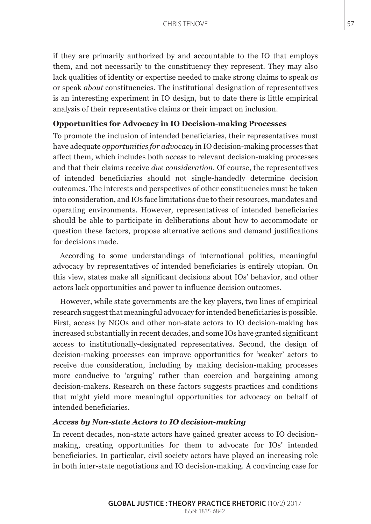if they are primarily authorized by and accountable to the IO that employs them, and not necessarily to the constituency they represent. They may also lack qualities of identity or expertise needed to make strong claims to speak *as*  or speak *about* constituencies. The institutional designation of representatives is an interesting experiment in IO design, but to date there is little empirical analysis of their representative claims or their impact on inclusion.

## **Opportunities for Advocacy in IO Decision-making Processes**

To promote the inclusion of intended beneficiaries, their representatives must have adequate *opportunities for advocacy* in IO decision-making processes that affect them, which includes both *access* to relevant decision-making processes and that their claims receive *due consideration*. Of course, the representatives of intended beneficiaries should not single-handedly determine decision outcomes. The interests and perspectives of other constituencies must be taken into consideration, and IOs face limitations due to their resources, mandates and operating environments. However, representatives of intended beneficiaries should be able to participate in deliberations about how to accommodate or question these factors, propose alternative actions and demand justifications for decisions made.

According to some understandings of international politics, meaningful advocacy by representatives of intended beneficiaries is entirely utopian. On this view, states make all significant decisions about IOs' behavior, and other actors lack opportunities and power to influence decision outcomes.

However, while state governments are the key players, two lines of empirical research suggest that meaningful advocacy for intended beneficiaries is possible. First, access by NGOs and other non-state actors to IO decision-making has increased substantially in recent decades, and some IOs have granted significant access to institutionally-designated representatives. Second, the design of decision-making processes can improve opportunities for 'weaker' actors to receive due consideration, including by making decision-making processes more conducive to 'arguing' rather than coercion and bargaining among decision-makers. Research on these factors suggests practices and conditions that might yield more meaningful opportunities for advocacy on behalf of intended beneficiaries.

#### *Access by Non-state Actors to IO decision-making*

In recent decades, non-state actors have gained greater access to IO decisionmaking, creating opportunities for them to advocate for IOs' intended beneficiaries. In particular, civil society actors have played an increasing role in both inter-state negotiations and IO decision-making. A convincing case for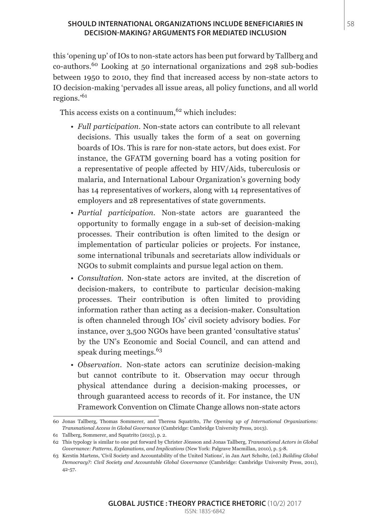## **SHOULD INTERNATIONAL ORGANIZATIONS INCLUDE BENEFICIARIES IN** 58 **DECISION-MAKING? ARGUMENTS FOR MEDIATED INCLUSION**

this 'opening up' of IOs to non-state actors has been put forward by Tallberg and co-authors.60 Looking at 50 international organizations and 298 sub-bodies between 1950 to 2010, they find that increased access by non-state actors to IO decision-making 'pervades all issue areas, all policy functions, and all world regions.'<sup>61</sup>

This access exists on a continuum,  $62$  which includes:

- *Full participation.* Non-state actors can contribute to all relevant decisions. This usually takes the form of a seat on governing boards of IOs. This is rare for non-state actors, but does exist. For instance, the GFATM governing board has a voting position for a representative of people affected by HIV/Aids, tuberculosis or malaria, and International Labour Organization's governing body has 14 representatives of workers, along with 14 representatives of employers and 28 representatives of state governments.
- *Partial participation.* Non-state actors are guaranteed the opportunity to formally engage in a sub-set of decision-making processes. Their contribution is often limited to the design or implementation of particular policies or projects. For instance, some international tribunals and secretariats allow individuals or NGOs to submit complaints and pursue legal action on them.
- *Consultation.* Non-state actors are invited, at the discretion of decision-makers, to contribute to particular decision-making processes. Their contribution is often limited to providing information rather than acting as a decision-maker. Consultation is often channeled through IOs' civil society advisory bodies. For instance, over 3,500 NGOs have been granted 'consultative status' by the UN's Economic and Social Council, and can attend and speak during meetings.<sup>63</sup>
- *Observation*. Non-state actors can scrutinize decision-making but cannot contribute to it. Observation may occur through physical attendance during a decision-making processes, or through guaranteed access to records of it. For instance, the UN Framework Convention on Climate Change allows non-state actors

<sup>60</sup> Jonas Tallberg, Thomas Sommerer, and Theresa Squatrito, *The Opening up of International Organizations: Transnational Access in Global Governance* (Cambridge: Cambridge University Press, 2013).

<sup>61</sup> Tallberg, Sommerer, and Squatrito (2013), p. 2.

<sup>62</sup> This typology is similar to one put forward by Christer Jönsson and Jonas Tallberg, *Transnational Actors in Global Governance: Patterns, Explanations, and Implications* (New York: Palgrave Macmillan, 2010), p. 5-8.

<sup>63</sup> Kerstin Martens, 'Civil Society and Accountability of the United Nations', in Jan Aart Scholte, (ed.) *Building Global Democracy?: Civil Society and Accountable Global Governance* (Cambridge: Cambridge University Press, 2011), 42-57.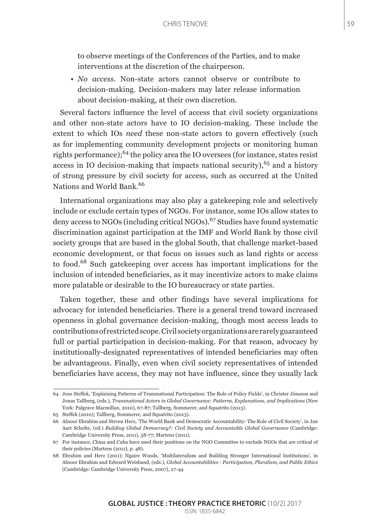to observe meetings of the Conferences of the Parties, and to make interventions at the discretion of the chairperson.

• *No access*. Non-state actors cannot observe or contribute to decision-making. Decision-makers may later release information about decision-making, at their own discretion.

Several factors influence the level of access that civil society organizations and other non-state actors have to IO decision-making. These include the extent to which IOs *need* these non-state actors to govern effectively (such as for implementing community development projects or monitoring human rights performance);<sup>64</sup> the policy area the IO oversees (for instance, states resist access in IO decision-making that impacts national security),  $65$  and a history of strong pressure by civil society for access, such as occurred at the United Nations and World Bank.<sup>66</sup>

International organizations may also play a gatekeeping role and selectively include or exclude certain types of NGOs. For instance, some IOs allow states to deny access to NGOs (including critical NGOs).<sup>67</sup> Studies have found systematic discrimination against participation at the IMF and World Bank by those civil society groups that are based in the global South, that challenge market-based economic development, or that focus on issues such as land rights or access to food.68 Such gatekeeping over access has important implications for the inclusion of intended beneficiaries, as it may incentivize actors to make claims more palatable or desirable to the IO bureaucracy or state parties.

Taken together, these and other findings have several implications for advocacy for intended beneficiaries. There is a general trend toward increased openness in global governance decision-making, though most access leads to contributions of restricted scope. Civil society organizations are rarely guaranteed full or partial participation in decision-making. For that reason, advocacy by institutionally-designated representatives of intended beneficiaries may often be advantageous. Finally, even when civil society representatives of intended beneficiaries have access, they may not have influence, since they usually lack

<sup>64</sup> Jens Steffek, 'Explaining Patterns of Transnational Participation: The Role of Policy Fields', in Christer Jönsson and Jonas Tallberg, (eds.), *Transnational Actors in Global Governance: Patterns, Explanations, and Implications* (New York: Palgrave Macmillan, 2010), 67-87; Tallberg, Sommerer, and Squatrito (2013).

<sup>65</sup> Steffek (2010); Tallberg, Sommerer, and Squatrito (2013).

<sup>66</sup> Alnoor Ebrahim and Steven Herz, 'The World Bank and Democratic Accountability: The Role of Civil Society', in Jan Aart Scholte, (ed.) *Building Global Democracy?: Civil Society and Accountable Global Governance* (Cambridge: Cambridge University Press, 2011), 58-77; Martens (2011).

<sup>67</sup> For instance, China and Cuba have used their positions on the NGO Committee to exclude NGOs that are critical of their policies (Martens (2011), p. 48).

<sup>68</sup> Ebrahim and Herz (2011); Ngaire Woods, 'Multilateralism and Building Stronger International Institutions', in Alnoor Ebrahim and Edward Weisband, (eds.), *Global Accountabilities : Participation, Pluralism, and Public Ethics* (Cambridge: Cambridge University Press, 2007), 27-44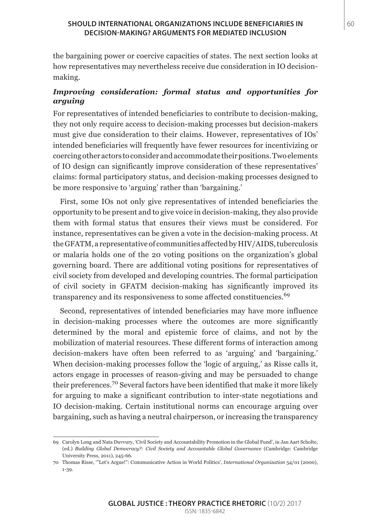#### **SHOULD INTERNATIONAL ORGANIZATIONS INCLUDE BENEFICIARIES IN** 60 **DECISION-MAKING? ARGUMENTS FOR MEDIATED INCLUSION**

the bargaining power or coercive capacities of states. The next section looks at how representatives may nevertheless receive due consideration in IO decisionmaking.

# *Improving consideration: formal status and opportunities for arguing*

For representatives of intended beneficiaries to contribute to decision-making, they not only require access to decision-making processes but decision-makers must give due consideration to their claims. However, representatives of IOs' intended beneficiaries will frequently have fewer resources for incentivizing or coercing other actors to consider and accommodate their positions. Two elements of IO design can significantly improve consideration of these representatives' claims: formal participatory status, and decision-making processes designed to be more responsive to 'arguing' rather than 'bargaining.'

First, some IOs not only give representatives of intended beneficiaries the opportunity to be present and to give voice in decision-making, they also provide them with formal status that ensures their views must be considered. For instance, representatives can be given a vote in the decision-making process. At the GFATM, a representative of communities affected by HIV/AIDS, tuberculosis or malaria holds one of the 20 voting positions on the organization's global governing board. There are additional voting positions for representatives of civil society from developed and developing countries. The formal participation of civil society in GFATM decision-making has significantly improved its transparency and its responsiveness to some affected constituencies.<sup>69</sup>

Second, representatives of intended beneficiaries may have more influence in decision-making processes where the outcomes are more significantly determined by the moral and epistemic force of claims, and not by the mobilization of material resources. These different forms of interaction among decision-makers have often been referred to as 'arguing' and 'bargaining.' When decision-making processes follow the 'logic of arguing,' as Risse calls it, actors engage in processes of reason-giving and may be persuaded to change their preferences.70 Several factors have been identified that make it more likely for arguing to make a significant contribution to inter-state negotiations and IO decision-making. Certain institutional norms can encourage arguing over bargaining, such as having a neutral chairperson, or increasing the transparency

<sup>69</sup> Carolyn Long and Nata Duvvury, 'Civil Society and Accountability Promotion in the Global Fund', in Jan Aart Scholte, (ed.) *Building Global Democracy?: Civil Society and Accountable Global Governance* (Cambridge: Cambridge University Press, 2011), 245-66.

<sup>70</sup> Thomas Risse, '"Let's Argue!": Communicative Action in World Politics', *International Organization* 54/01 (2000), 1-39.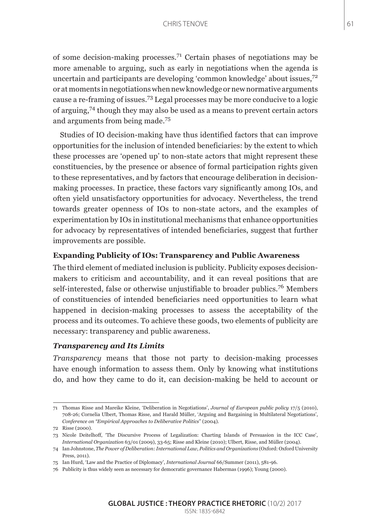of some decision-making processes.71 Certain phases of negotiations may be more amenable to arguing, such as early in negotiations when the agenda is uncertain and participants are developing 'common knowledge' about issues, $7<sup>2</sup>$ or at moments in negotiations when new knowledge or new normative arguments cause a re-framing of issues.73 Legal processes may be more conducive to a logic of arguing,74 though they may also be used as a means to prevent certain actors and arguments from being made.<sup>75</sup>

Studies of IO decision-making have thus identified factors that can improve opportunities for the inclusion of intended beneficiaries: by the extent to which these processes are 'opened up' to non-state actors that might represent these constituencies, by the presence or absence of formal participation rights given to these representatives, and by factors that encourage deliberation in decisionmaking processes. In practice, these factors vary significantly among IOs, and often yield unsatisfactory opportunities for advocacy. Nevertheless, the trend towards greater openness of IOs to non-state actors, and the examples of experimentation by IOs in institutional mechanisms that enhance opportunities for advocacy by representatives of intended beneficiaries, suggest that further improvements are possible.

## **Expanding Publicity of IOs: Transparency and Public Awareness**

The third element of mediated inclusion is publicity. Publicity exposes decisionmakers to criticism and accountability, and it can reveal positions that are self-interested, false or otherwise unjustifiable to broader publics.<sup>76</sup> Members of constituencies of intended beneficiaries need opportunities to learn what happened in decision-making processes to assess the acceptability of the process and its outcomes. To achieve these goods, two elements of publicity are necessary: transparency and public awareness.

## *Transparency and Its Limits*

*Transparency* means that those not party to decision-making processes have enough information to assess them. Only by knowing what institutions do, and how they came to do it, can decision-making be held to account or

<sup>71</sup> Thomas Risse and Mareike Kleine, 'Deliberation in Negotiations', *Journal of European public policy* 17/5 (2010), 708-26; Cornelia Ulbert, Thomas Risse, and Harald Müller, 'Arguing and Bargaining in Multilateral Negotiations', *Conference on "Empirical Approaches to Deliberative Politics*" (2004).

<sup>72</sup> Risse (2000).

<sup>73</sup> Nicole Deitelhoff, 'The Discursive Process of Legalization: Charting Islands of Persuasion in the ICC Case', *International Organization* 63/01 (2009), 33-65; Risse and Kleine (2010); Ulbert, Risse, and Müller (2004).

<sup>74</sup> Ian Johnstone, *The Power of Deliberation: International Law, Politics and Organizations* (Oxford: Oxford University Press, 2011).

<sup>75</sup> Ian Hurd, 'Law and the Practice of Diplomacy', *International Journal* 66/Summer (2011), 581-96.

<sup>76</sup> Publicity is thus widely seen as necessary for democratic governance Habermas (1996); Young (2000).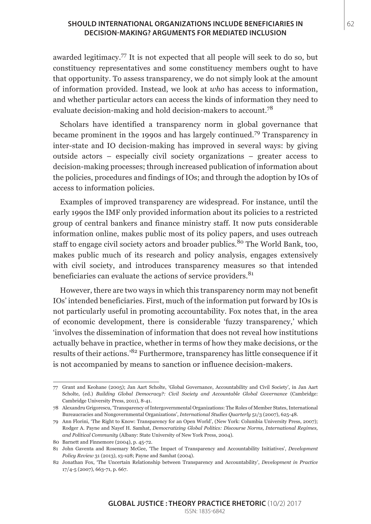#### **SHOULD INTERNATIONAL ORGANIZATIONS INCLUDE BENEFICIARIES IN** 62 **DECISION-MAKING? ARGUMENTS FOR MEDIATED INCLUSION**

awarded legitimacy.<sup>77</sup> It is not expected that all people will seek to do so, but constituency representatives and some constituency members ought to have that opportunity. To assess transparency, we do not simply look at the amount of information provided. Instead, we look at *who* has access to information, and whether particular actors can access the kinds of information they need to evaluate decision-making and hold decision-makers to account.<sup>78</sup>

Scholars have identified a transparency norm in global governance that became prominent in the 1990s and has largely continued.79 Transparency in inter-state and IO decision-making has improved in several ways: by giving outside actors – especially civil society organizations – greater access to decision-making processes; through increased publication of information about the policies, procedures and findings of IOs; and through the adoption by IOs of access to information policies.

Examples of improved transparency are widespread. For instance, until the early 1990s the IMF only provided information about its policies to a restricted group of central bankers and finance ministry staff. It now puts considerable information online, makes public most of its policy papers, and uses outreach staff to engage civil society actors and broader publics.<sup>80</sup> The World Bank, too, makes public much of its research and policy analysis, engages extensively with civil society, and introduces transparency measures so that intended beneficiaries can evaluate the actions of service providers.<sup>81</sup>

However, there are two ways in which this transparency norm may not benefit IOs' intended beneficiaries. First, much of the information put forward by IOs is not particularly useful in promoting accountability. Fox notes that, in the area of economic development, there is considerable 'fuzzy transparency,' which 'involves the dissemination of information that does not reveal how institutions actually behave in practice, whether in terms of how they make decisions, or the results of their actions.'82 Furthermore, transparency has little consequence if it is not accompanied by means to sanction or influence decision-makers.

<sup>77</sup> Grant and Keohane (2005); Jan Aart Scholte, 'Global Governance, Accountability and Civil Society', in Jan Aart Scholte, (ed.) *Building Global Democracy?: Civil Society and Accountable Global Governance* (Cambridge: Cambridge University Press, 2011), 8-41.

<sup>78</sup> Alexandru Grigorescu, 'Transparency of Intergovernmental Organizations: The Roles of Member States, International Bureaucracies and Nongovernmental Organizations', *International Studies Quarterly* 51/3 (2007), 625-48.

<sup>79</sup> Ann Florini, 'The Right to Know: Transparency for an Open World', (New York: Columbia University Press, 2007); Rodger A. Payne and Nayef H. Samhat, *Democratizing Global Politics: Discourse Norms, International Regimes, and Political Community* (Albany: State University of New York Press, 2004).

<sup>80</sup> Barnett and Finnemore (2004), p. 45-72.

<sup>81</sup> John Gaventa and Rosemary McGee, 'The Impact of Transparency and Accountability Initiatives', *Development Policy Review* 31 (2013), s3-s28; Payne and Samhat (2004).

<sup>82</sup> Jonathan Fox, 'The Uncertain Relationship between Transparency and Accountability', *Development in Practice* 17/4-5 (2007), 663-71, p. 667.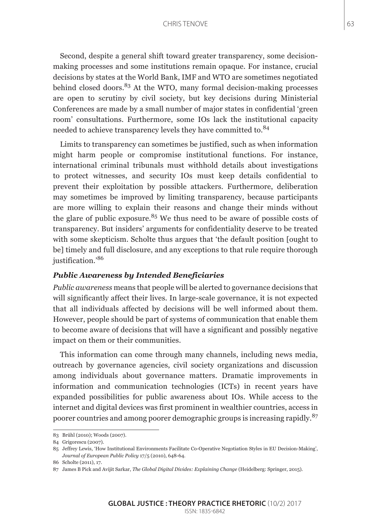#### CHRIS TENOVE 63

Second, despite a general shift toward greater transparency, some decisionmaking processes and some institutions remain opaque. For instance, crucial decisions by states at the World Bank, IMF and WTO are sometimes negotiated behind closed doors. $83$  At the WTO, many formal decision-making processes are open to scrutiny by civil society, but key decisions during Ministerial Conferences are made by a small number of major states in confidential 'green room' consultations. Furthermore, some IOs lack the institutional capacity needed to achieve transparency levels they have committed to.<sup>84</sup>

Limits to transparency can sometimes be justified, such as when information might harm people or compromise institutional functions. For instance, international criminal tribunals must withhold details about investigations to protect witnesses, and security IOs must keep details confidential to prevent their exploitation by possible attackers. Furthermore, deliberation may sometimes be improved by limiting transparency, because participants are more willing to explain their reasons and change their minds without the glare of public exposure.<sup>85</sup> We thus need to be aware of possible costs of transparency. But insiders' arguments for confidentiality deserve to be treated with some skepticism. Scholte thus argues that 'the default position [ought to be] timely and full disclosure, and any exceptions to that rule require thorough justification.'<sup>86</sup>

#### *Public Awareness by Intended Beneficiaries*

*Public awareness* means that people will be alerted to governance decisions that will significantly affect their lives. In large-scale governance, it is not expected that all individuals affected by decisions will be well informed about them. However, people should be part of systems of communication that enable them to become aware of decisions that will have a significant and possibly negative impact on them or their communities.

This information can come through many channels, including news media, outreach by governance agencies, civil society organizations and discussion among individuals about governance matters. Dramatic improvements in information and communication technologies (ICTs) in recent years have expanded possibilities for public awareness about IOs. While access to the internet and digital devices was first prominent in wealthier countries, access in poorer countries and among poorer demographic groups is increasing rapidly.<sup>87</sup>

<sup>83</sup> Brühl (2010); Woods (2007).

<sup>84</sup> Grigorescu (2007).

<sup>85</sup> Jeffrey Lewis, 'How Institutional Environments Facilitate Co-Operative Negotiation Styles in EU Decision-Making', *Journal of European Public Policy* 17/5 (2010), 648-64.

<sup>86</sup> Scholte (2011), 17.

<sup>87</sup> James B Pick and Avijit Sarkar, *The Global Digital Divides: Explaining Change* (Heidelberg: Springer, 2015).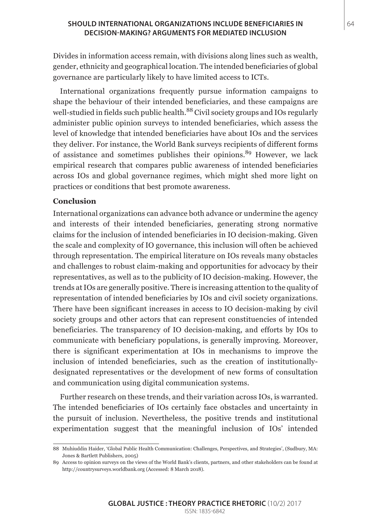#### **SHOULD INTERNATIONAL ORGANIZATIONS INCLUDE BENEFICIARIES IN** 64 **DECISION-MAKING? ARGUMENTS FOR MEDIATED INCLUSION**

Divides in information access remain, with divisions along lines such as wealth, gender, ethnicity and geographical location. The intended beneficiaries of global governance are particularly likely to have limited access to ICTs.

International organizations frequently pursue information campaigns to shape the behaviour of their intended beneficiaries, and these campaigns are well-studied in fields such public health.<sup>88</sup> Civil society groups and IOs regularly administer public opinion surveys to intended beneficiaries, which assess the level of knowledge that intended beneficiaries have about IOs and the services they deliver. For instance, the World Bank surveys recipients of different forms of assistance and sometimes publishes their opinions.<sup>89</sup> However, we lack empirical research that compares public awareness of intended beneficiaries across IOs and global governance regimes, which might shed more light on practices or conditions that best promote awareness.

#### **Conclusion**

International organizations can advance both advance or undermine the agency and interests of their intended beneficiaries, generating strong normative claims for the inclusion of intended beneficiaries in IO decision-making. Given the scale and complexity of IO governance, this inclusion will often be achieved through representation. The empirical literature on IOs reveals many obstacles and challenges to robust claim-making and opportunities for advocacy by their representatives, as well as to the publicity of IO decision-making. However, the trends at IOs are generally positive. There is increasing attention to the quality of representation of intended beneficiaries by IOs and civil society organizations. There have been significant increases in access to IO decision-making by civil society groups and other actors that can represent constituencies of intended beneficiaries. The transparency of IO decision-making, and efforts by IOs to communicate with beneficiary populations, is generally improving. Moreover, there is significant experimentation at IOs in mechanisms to improve the inclusion of intended beneficiaries, such as the creation of institutionallydesignated representatives or the development of new forms of consultation and communication using digital communication systems.

Further research on these trends, and their variation across IOs, is warranted. The intended beneficiaries of IOs certainly face obstacles and uncertainty in the pursuit of inclusion. Nevertheless, the positive trends and institutional experimentation suggest that the meaningful inclusion of IOs' intended

<sup>88</sup> Muhiuddin Haider, 'Global Public Health Communication: Challenges, Perspectives, and Strategies', (Sudbury, MA: Jones & Bartlett Publishers, 2005)

<sup>89</sup> Access to opinion surveys on the views of the World Bank's clients, partners, and other stakeholders can be found at http://countrysurveys.worldbank.org (Accessed: 8 March 2018).